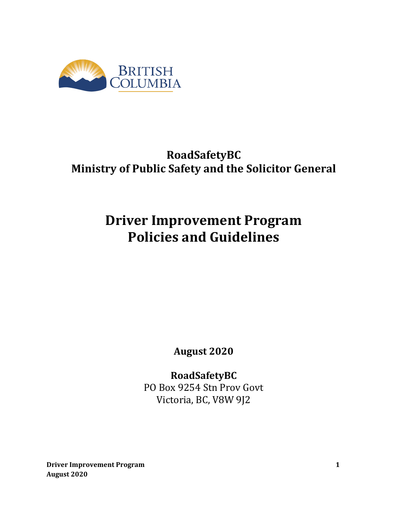

## **RoadSafetyBC Ministry of Public Safety and the Solicitor General**

# **Driver Improvement Program Policies and Guidelines**

**August 2020**

**RoadSafetyBC** PO Box 9254 Stn Prov Govt Victoria, BC, V8W 9J2

**Driver Improvement Program 1 August 2020**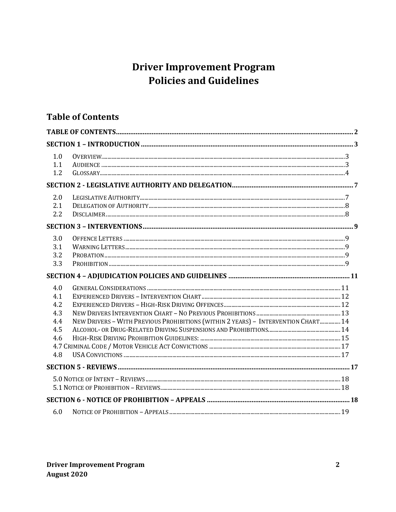## **Driver Improvement Program Policies and Guidelines**

## **Table of Contents**

| 1.0<br>1.1<br>1.2                                    |                                                                                   |  |
|------------------------------------------------------|-----------------------------------------------------------------------------------|--|
|                                                      |                                                                                   |  |
| 2.0<br>2.1<br>2.2                                    |                                                                                   |  |
|                                                      |                                                                                   |  |
| 3.0<br>3.1<br>3.2<br>3.3                             |                                                                                   |  |
|                                                      |                                                                                   |  |
| 4.0<br>4.1<br>4.2<br>4.3<br>4.4<br>4.5<br>4.6<br>4.8 | NEW DRIVERS - WITH PREVIOUS PROHIBITIONS (WITHIN 2 YEARS) - INTERVENTION CHART 14 |  |
|                                                      |                                                                                   |  |
|                                                      |                                                                                   |  |
|                                                      |                                                                                   |  |
| 6.0                                                  |                                                                                   |  |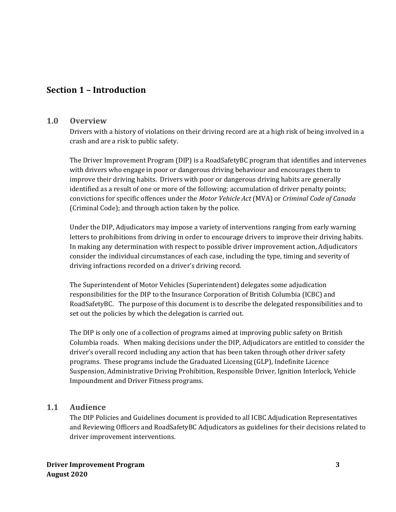## **Section 1 – Introduction**

#### **1.0 Overview**

Drivers with a history of violations on their driving record are at a high risk of being involved in a crash and are a risk to public safety.

The Driver Improvement Program (DIP) is a RoadSafetyBC program that identifies and intervenes with drivers who engage in poor or dangerous driving behaviour and encourages them to improve their driving habits. Drivers with poor or dangerous driving habits are generally identified as a result of one or more of the following: accumulation of driver penalty points; convictions for specific offences under the *Motor Vehicle Act* (MVA) or *Criminal Code of Canada* (Criminal Code); and through action taken by the police.

Under the DIP, Adjudicators may impose a variety of interventions ranging from early warning letters to prohibitions from driving in order to encourage drivers to improve their driving habits. In making any determination with respect to possible driver improvement action, Adjudicators consider the individual circumstances of each case, including the type, timing and severity of driving infractions recorded on a driver's driving record.

The Superintendent of Motor Vehicles (Superintendent) delegates some adjudication responsibilities for the DIP to the Insurance Corporation of British Columbia (ICBC) and RoadSafetyBC. The purpose of this document is to describe the delegated responsibilities and to set out the policies by which the delegation is carried out.

The DIP is only one of a collection of programs aimed at improving public safety on British Columbia roads. When making decisions under the DIP, Adjudicators are entitled to consider the driver's overall record including any action that has been taken through other driver safety programs. These programs include the Graduated Licensing (GLP), Indefinite Licence Suspension, Administrative Driving Prohibition, Responsible Driver, Ignition Interlock, Vehicle Impoundment and Driver Fitness programs.

#### **1.1 Audience**

The DIP Policies and Guidelines document is provided to all ICBC Adjudication Representatives and Reviewing Officers and RoadSafetyBC Adjudicators as guidelines for their decisions related to driver improvement interventions.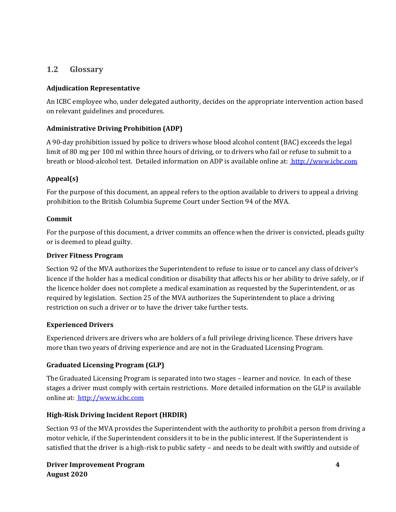#### **1.2 Glossary**

#### **Adjudication Representative**

An ICBC employee who, under delegated authority, decides on the appropriate intervention action based on relevant guidelines and procedures.

#### **Administrative Driving Prohibition (ADP)**

A 90-day prohibition issued by police to drivers whose blood alcohol content (BAC) exceeds the legal limit of 80 mg per 100 ml within three hours of driving, or to drivers who fail or refuse to submit to a breath or blood-alcohol test. Detailed information on ADP is available online at: http://www.icbc.com

#### **Appeal(s)**

For the purpose of this document, an appeal refers to the option available to drivers to appeal a driving prohibition to the British Columbia Supreme Court under Section 94 of the MVA.

#### **Commit**

For the purpose of this document, a driver commits an offence when the driver is convicted, pleads guilty or is deemed to plead guilty.

#### **Driver Fitness Program**

Section 92 of the MVA authorizes the Superintendent to refuse to issue or to cancel any class of driver's licence if the holder has a medical condition or disability that affects his or her ability to drive safely, or if the licence holder does not complete a medical examination as requested by the Superintendent, or as required by legislation. Section 25 of the MVA authorizes the Superintendent to place a driving restriction on such a driver or to have the driver take further tests.

#### **Experienced Drivers**

Experienced drivers are drivers who are holders of a full privilege driving licence. These drivers have more than two years of driving experience and are not in the Graduated Licensing Program.

#### **Graduated Licensing Program (GLP)**

The Graduated Licensing Program is separated into two stages – learner and novice. In each of these stages a driver must comply with certain restrictions. More detailed information on the GLP is available online at: [http://www.icbc.com](http://www.icbc.com/)

#### **High-Risk Driving Incident Report (HRDIR)**

Section 93 of the MVA provides the Superintendent with the authority to prohibit a person from driving a motor vehicle, if the Superintendent considers it to be in the public interest. If the Superintendent is satisfied that the driver is a high-risk to public safety – and needs to be dealt with swiftly and outside of

**Driver Improvement Program 4 August 2020**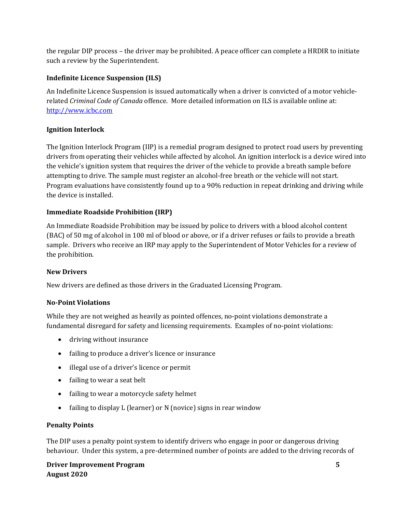the regular DIP process – the driver may be prohibited. A peace officer can complete a HRDIR to initiate such a review by the Superintendent.

#### **Indefinite Licence Suspension (ILS)**

An Indefinite Licence Suspension is issued automatically when a driver is convicted of a motor vehiclerelated *Criminal Code of Canada* offence. More detailed information on ILS is available online at: [http://www.icbc.com](http://www.icbc.com/)

#### **Ignition Interlock**

The Ignition Interlock Program (IIP) is a remedial program designed to protect road users by preventing drivers from operating their vehicles while affected by alcohol. An ignition interlock is a device wired into the vehicle's ignition system that requires the driver of the vehicle to provide a breath sample before attempting to drive. The sample must register an alcohol-free breath or the vehicle will not start. Program evaluations have consistently found up to a 90% reduction in repeat drinking and driving while the device is installed.

#### **Immediate Roadside Prohibition (IRP)**

An Immediate Roadside Prohibition may be issued by police to drivers with a blood alcohol content (BAC) of 50 mg of alcohol in 100 ml of blood or above, or if a driver refuses or fails to provide a breath sample. Drivers who receive an IRP may apply to the Superintendent of Motor Vehicles for a review of the prohibition.

#### **New Drivers**

New drivers are defined as those drivers in the Graduated Licensing Program.

#### **No-Point Violations**

While they are not weighed as heavily as pointed offences, no-point violations demonstrate a fundamental disregard for safety and licensing requirements. Examples of no-point violations:

- driving without insurance
- failing to produce a driver's licence or insurance
- illegal use of a driver's licence or permit
- failing to wear a seat belt
- failing to wear a motorcycle safety helmet
- failing to display L (learner) or N (novice) signs in rear window

#### **Penalty Points**

The DIP uses a penalty point system to identify drivers who engage in poor or dangerous driving behaviour. Under this system, a pre-determined number of points are added to the driving records of

**Driver Improvement Program 5 August 2020**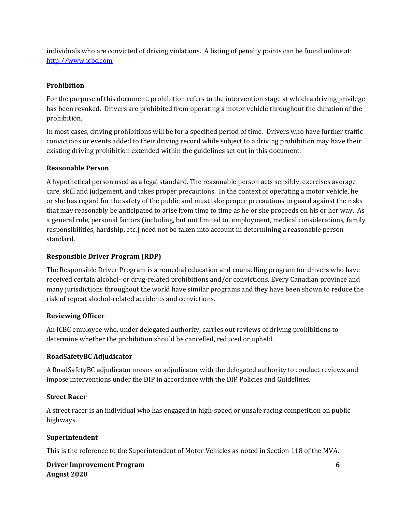individuals who are convicted of driving violations. A listing of penalty points can be found online at: [http://www.icbc.com](http://www.icbc.com/)

#### **Prohibition**

For the purpose of this document, prohibition refers to the intervention stage at which a driving privilege has been revoked. Drivers are prohibited from operating a motor vehicle throughout the duration of the prohibition.

In most cases, driving prohibitions will be for a specified period of time. Drivers who have further traffic convictions or events added to their driving record while subject to a driving prohibition may have their existing driving prohibition extended within the guidelines set out in this document.

#### **Reasonable Person**

A hypothetical person used as a legal standard. The reasonable person acts sensibly, exercises average care, skill and judgement, and takes proper precautions. In the context of operating a motor vehicle, he or she has regard for the safety of the public and must take proper precautions to guard against the risks that may reasonably be anticipated to arise from time to time as he or she proceeds on his or her way. As a general rule, personal factors (including, but not limited to, employment, medical considerations, family responsibilities, hardship, etc.) need not be taken into account in determining a reasonable person standard.

#### **Responsible Driver Program (RDP)**

The Responsible Driver Program is a remedial education and counselling program for drivers who have received certain alcohol- or drug-related prohibitions and/or convictions. Every Canadian province and many jurisdictions throughout the world have similar programs and they have been shown to reduce the risk of repeat alcohol-related accidents and convictions.

#### **Reviewing Officer**

An ICBC employee who, under delegated authority, carries out reviews of driving prohibitions to determine whether the prohibition should be cancelled, reduced or upheld.

#### **RoadSafetyBC Adjudicator**

A RoadSafetyBC adjudicator means an adjudicator with the delegated authority to conduct reviews and impose interventions under the DIP in accordance with the DIP Policies and Guidelines.

#### **Street Racer**

A street racer is an individual who has engaged in high-speed or unsafe racing competition on public highways.

#### **Superintendent**

This is the reference to the Superintendent of Motor Vehicles as noted in Section 118 of the MVA.

#### **Driver Improvement Program 6 August 2020**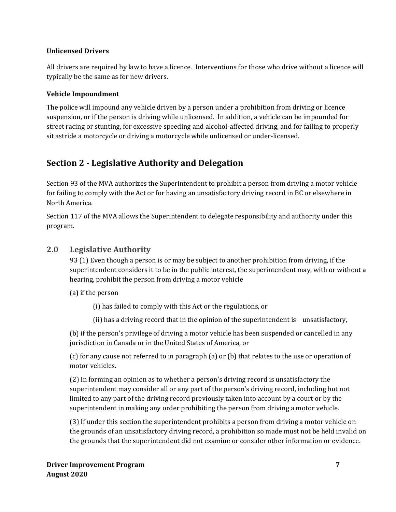#### **Unlicensed Drivers**

All drivers are required by law to have a licence. Interventions for those who drive without a licence will typically be the same as for new drivers.

#### **Vehicle Impoundment**

The police will impound any vehicle driven by a person under a prohibition from driving or licence suspension, or if the person is driving while unlicensed. In addition, a vehicle can be impounded for street racing or stunting, for excessive speeding and alcohol-affected driving, and for failing to properly sit astride a motorcycle or driving a motorcycle while unlicensed or under-licensed.

## **Section 2 - Legislative Authority and Delegation**

Section 93 of the MVA authorizes the Superintendent to prohibit a person from driving a motor vehicle for failing to comply with the Act or for having an unsatisfactory driving record in BC or elsewhere in North America.

Section 117 of the MVA allows the Superintendent to delegate responsibility and authority under this program.

#### **2.0 Legislative Authority**

93 (1) Even though a person is or may be subject to another prohibition from driving, if the superintendent considers it to be in the public interest, the superintendent may, with or without a hearing, prohibit the person from driving a motor vehicle

(a) if the person

(i) has failed to comply with this Act or the regulations, or

(ii) has a driving record that in the opinion of the superintendent is unsatisfactory,

(b) if the person's privilege of driving a motor vehicle has been suspended or cancelled in any jurisdiction in Canada or in the United States of America, or

(c) for any cause not referred to in paragraph (a) or (b) that relates to the use or operation of motor vehicles.

(2) In forming an opinion as to whether a person's driving record is unsatisfactory the superintendent may consider all or any part of the person's driving record, including but not limited to any part of the driving record previously taken into account by a court or by the superintendent in making any order prohibiting the person from driving a motor vehicle.

(3) If under this section the superintendent prohibits a person from driving a motor vehicle on the grounds of an unsatisfactory driving record, a prohibition so made must not be held invalid on the grounds that the superintendent did not examine or consider other information or evidence.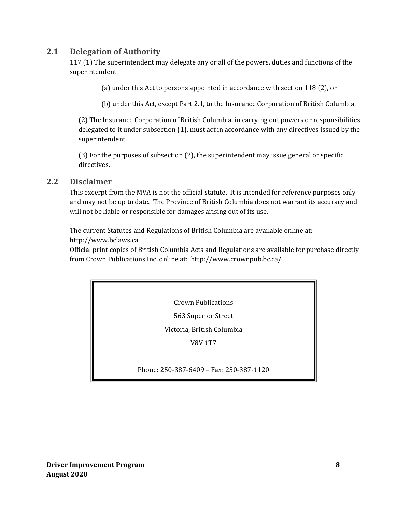### **2.1 Delegation of Authority**

117 (1) The superintendent may delegate any or all of the powers, duties and functions of the superintendent

(a) under this Act to persons appointed in accordance with section 118 (2), or

(b) under this Act, except Part 2.1, to the Insurance Corporation of British Columbia.

(2) The Insurance Corporation of British Columbia, in carrying out powers or responsibilities delegated to it under subsection (1), must act in accordance with any directives issued by the superintendent.

(3) For the purposes of subsection (2), the superintendent may issue general or specific directives.

#### **2.2 Disclaimer**

This excerpt from the MVA is not the official statute. It is intended for reference purposes only and may not be up to date. The Province of British Columbia does not warrant its accuracy and will not be liable or responsible for damages arising out of its use.

The current Statutes and Regulations of British Columbia are available online at: [http://www.bclaws.ca](http://www.bclaws.ca/)

Official print copies of British Columbia Acts and Regulations are available for purchase directly from Crown Publications Inc. online at:<http://www.crownpub.bc.ca/>

Crown Publications

563 Superior Street

Victoria, British Columbia

V8V 1T7

Phone: 250-387-6409 – Fax: 250-387-1120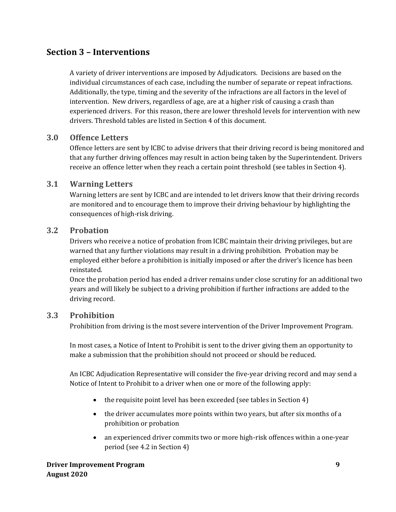## **Section 3 – Interventions**

A variety of driver interventions are imposed by Adjudicators. Decisions are based on the individual circumstances of each case, including the number of separate or repeat infractions. Additionally, the type, timing and the severity of the infractions are all factors in the level of intervention. New drivers, regardless of age, are at a higher risk of causing a crash than experienced drivers. For this reason, there are lower threshold levels for intervention with new drivers. Threshold tables are listed in Section 4 of this document.

#### **3.0 Offence Letters**

Offence letters are sent by ICBC to advise drivers that their driving record is being monitored and that any further driving offences may result in action being taken by the Superintendent. Drivers receive an offence letter when they reach a certain point threshold (see tables in Section 4).

#### **3.1 Warning Letters**

Warning letters are sent by ICBC and are intended to let drivers know that their driving records are monitored and to encourage them to improve their driving behaviour by highlighting the consequences of high-risk driving.

#### **3.2 Probation**

Drivers who receive a notice of probation from ICBC maintain their driving privileges, but are warned that any further violations may result in a driving prohibition. Probation may be employed either before a prohibition is initially imposed or after the driver's licence has been reinstated.

Once the probation period has ended a driver remains under close scrutiny for an additional two years and will likely be subject to a driving prohibition if further infractions are added to the driving record.

#### **3.3 Prohibition**

Prohibition from driving is the most severe intervention of the Driver Improvement Program.

In most cases, a Notice of Intent to Prohibit is sent to the driver giving them an opportunity to make a submission that the prohibition should not proceed or should be reduced.

An ICBC Adjudication Representative will consider the five-year driving record and may send a Notice of Intent to Prohibit to a driver when one or more of the following apply:

- the requisite point level has been exceeded (see tables in Section 4)
- the driver accumulates more points within two years, but after six months of a prohibition or probation
- an experienced driver commits two or more high-risk offences within a one-year period (see 4.2 in Section 4)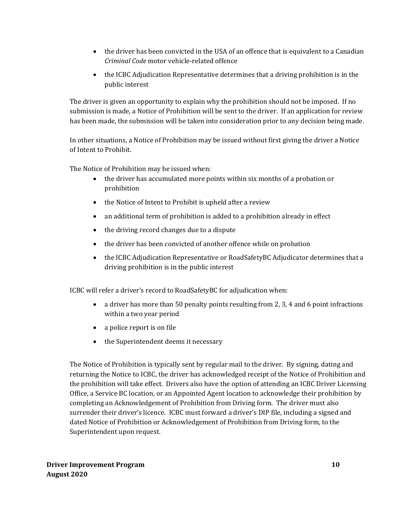- the driver has been convicted in the USA of an offence that is equivalent to a Canadian *Criminal Code* motor vehicle-related offence
- the ICBC Adjudication Representative determines that a driving prohibition is in the public interest

The driver is given an opportunity to explain why the prohibition should not be imposed. If no submission is made, a Notice of Prohibition will be sent to the driver. If an application for review has been made, the submission will be taken into consideration prior to any decision being made.

In other situations, a Notice of Prohibition may be issued without first giving the driver a Notice of Intent to Prohibit.

The Notice of Prohibition may be issued when:

- the driver has accumulated more points within six months of a probation or prohibition
- the Notice of Intent to Prohibit is upheld after a review
- an additional term of prohibition is added to a prohibition already in effect
- the driving record changes due to a dispute
- the driver has been convicted of another offence while on probation
- the ICBC Adjudication Representative or RoadSafetyBC Adjudicator determines that a driving prohibition is in the public interest

ICBC will refer a driver's record to RoadSafetyBC for adjudication when:

- a driver has more than 50 penalty points resulting from 2, 3, 4 and 6 point infractions within a two year period
- a police report is on file
- the Superintendent deems it necessary

The Notice of Prohibition is typically sent by regular mail to the driver. By signing, dating and returning the Notice to ICBC, the driver has acknowledged receipt of the Notice of Prohibition and the prohibition will take effect. Drivers also have the option of attending an ICBC Driver Licensing Office, a Service BC location, or an Appointed Agent location to acknowledge their prohibition by completing an Acknowledgement of Prohibition from Driving form. The driver must also surrender their driver's licence. ICBC must forward a driver's DIP file, including a signed and dated Notice of Prohibition or Acknowledgement of Prohibition from Driving form, to the Superintendent upon request.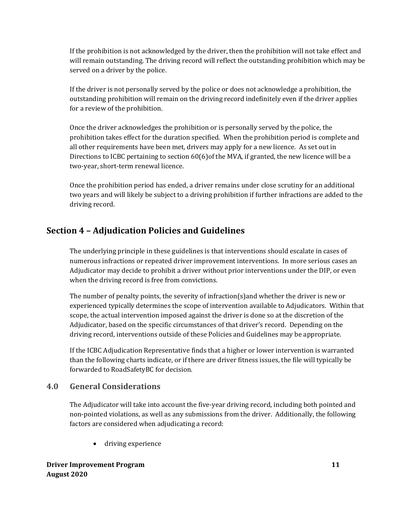If the prohibition is not acknowledged by the driver, then the prohibition will not take effect and will remain outstanding. The driving record will reflect the outstanding prohibition which may be served on a driver by the police.

If the driver is not personally served by the police or does not acknowledge a prohibition, the outstanding prohibition will remain on the driving record indefinitely even if the driver applies for a review of the prohibition.

Once the driver acknowledges the prohibition or is personally served by the police, the prohibition takes effect for the duration specified. When the prohibition period is complete and all other requirements have been met, drivers may apply for a new licence. As set out in Directions to ICBC pertaining to section 60(6)of the MVA, if granted, the new licence will be a two-year, short-term renewal licence.

Once the prohibition period has ended, a driver remains under close scrutiny for an additional two years and will likely be subject to a driving prohibition if further infractions are added to the driving record.

## **Section 4 – Adjudication Policies and Guidelines**

The underlying principle in these guidelines is that interventions should escalate in cases of numerous infractions or repeated driver improvement interventions. In more serious cases an Adjudicator may decide to prohibit a driver without prior interventions under the DIP, or even when the driving record is free from convictions.

The number of penalty points, the severity of infraction(s)and whether the driver is new or experienced typically determines the scope of intervention available to Adjudicators. Within that scope, the actual intervention imposed against the driver is done so at the discretion of the Adjudicator, based on the specific circumstances of that driver's record. Depending on the driving record, interventions outside of these Policies and Guidelines may be appropriate.

If the ICBC Adjudication Representative finds that a higher or lower intervention is warranted than the following charts indicate, or if there are driver fitness issues, the file will typically be forwarded to RoadSafetyBC for decision.

## **4.0 General Considerations**

The Adjudicator will take into account the five-year driving record, including both pointed and non-pointed violations, as well as any submissions from the driver. Additionally, the following factors are considered when adjudicating a record:

• driving experience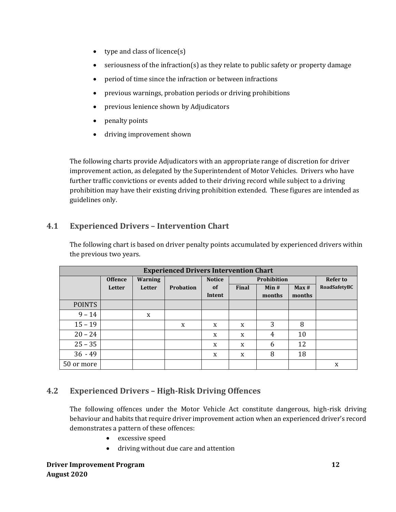- type and class of licence(s)
- seriousness of the infraction(s) as they relate to public safety or property damage
- period of time since the infraction or between infractions
- previous warnings, probation periods or driving prohibitions
- previous lenience shown by Adjudicators
- penalty points
- driving improvement shown

The following charts provide Adjudicators with an appropriate range of discretion for driver improvement action, as delegated by the Superintendent of Motor Vehicles. Drivers who have further traffic convictions or events added to their driving record while subject to a driving prohibition may have their existing driving prohibition extended. These figures are intended as guidelines only.

## **4.1 Experienced Drivers – Intervention Chart**

| The following chart is based on driver penalty points accumulated by experienced drivers within |
|-------------------------------------------------------------------------------------------------|
| the previous two years.                                                                         |

| <b>Experienced Drivers Intervention Chart</b> |                |         |                  |               |              |                    |        |                 |
|-----------------------------------------------|----------------|---------|------------------|---------------|--------------|--------------------|--------|-----------------|
|                                               | <b>Offence</b> | Warning |                  | <b>Notice</b> |              | <b>Prohibition</b> |        | <b>Refer to</b> |
|                                               | Letter         | Letter  | <b>Probation</b> | <b>of</b>     | <b>Final</b> | Min#<br>Max#       |        | RoadSafetyBC    |
|                                               |                |         |                  | Intent        |              | months             | months |                 |
| <b>POINTS</b>                                 |                |         |                  |               |              |                    |        |                 |
| $9 - 14$                                      |                | X       |                  |               |              |                    |        |                 |
| $15 - 19$                                     |                |         | X                | X             | X            | 3                  | 8      |                 |
| $20 - 24$                                     |                |         |                  | X             | X            | 4                  | 10     |                 |
| $25 - 35$                                     |                |         |                  | X             | X            | 6                  | 12     |                 |
| $36 - 49$                                     |                |         |                  | X             | X            | 8                  | 18     |                 |
| 50 or more                                    |                |         |                  |               |              |                    |        | X               |

## **4.2 Experienced Drivers – High-Risk Driving Offences**

The following offences under the Motor Vehicle Act constitute dangerous, high-risk driving behaviour and habits that require driver improvement action when an experienced driver's record demonstrates a pattern of these offences:

- excessive speed
- driving without due care and attention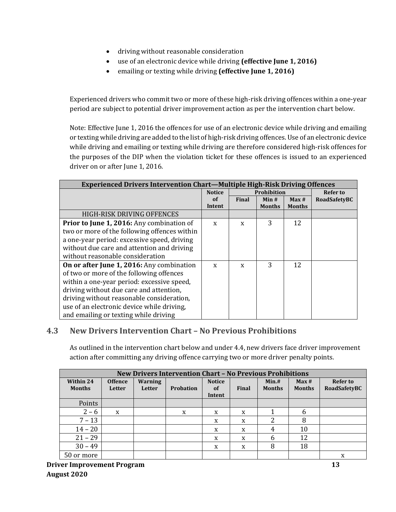- driving without reasonable consideration
- use of an electronic device while driving **(effective June 1, 2016)**
- emailing or texting while driving **(effective June 1, 2016)**

Experienced drivers who commit two or more of these high-risk driving offences within a one-year period are subject to potential driver improvement action as per the intervention chart below.

Note: Effective June 1, 2016 the offences for use of an electronic device while driving and emailing or texting while driving are added to the list of high-risk driving offences. Use of an electronic device while driving and emailing or texting while driving are therefore considered high-risk offences for the purposes of the DIP when the violation ticket for these offences is issued to an experienced driver on or after June 1, 2016.

| <b>Experienced Drivers Intervention Chart—Multiple High-Risk Driving Offences</b> |               |                    |               |               |              |  |
|-----------------------------------------------------------------------------------|---------------|--------------------|---------------|---------------|--------------|--|
|                                                                                   | <b>Notice</b> | <b>Prohibition</b> |               |               |              |  |
|                                                                                   | of            | Final              | Min#          | Max#          | RoadSafetyBC |  |
|                                                                                   | Intent        |                    | <b>Months</b> | <b>Months</b> |              |  |
| HIGH-RISK DRIVING OFFENCES                                                        |               |                    |               |               |              |  |
| Prior to June 1, 2016: Any combination of                                         | X             | X                  | 3             | 12            |              |  |
| two or more of the following offences within                                      |               |                    |               |               |              |  |
| a one-year period: excessive speed, driving                                       |               |                    |               |               |              |  |
| without due care and attention and driving                                        |               |                    |               |               |              |  |
| without reasonable consideration                                                  |               |                    |               |               |              |  |
| On or after June 1, 2016: Any combination                                         | X             | X                  | 3             | 12            |              |  |
| of two or more of the following offences                                          |               |                    |               |               |              |  |
| within a one-year period: excessive speed,                                        |               |                    |               |               |              |  |
| driving without due care and attention,                                           |               |                    |               |               |              |  |
| driving without reasonable consideration,                                         |               |                    |               |               |              |  |
| use of an electronic device while driving,                                        |               |                    |               |               |              |  |
| and emailing or texting while driving                                             |               |                    |               |               |              |  |

#### **4.3 New Drivers Intervention Chart – No Previous Prohibitions**

As outlined in the intervention chart below and under 4.4, new drivers face driver improvement action after committing any driving offence carrying two or more driver penalty points.

| <b>New Drivers Intervention Chart - No Previous Prohibitions</b> |                |                |                  |               |       |               |               |                 |
|------------------------------------------------------------------|----------------|----------------|------------------|---------------|-------|---------------|---------------|-----------------|
| Within 24                                                        | <b>Offence</b> | <b>Warning</b> |                  | <b>Notice</b> |       | Min.#         | Max#          | <b>Refer to</b> |
| <b>Months</b>                                                    | Letter         | Letter         | <b>Probation</b> | of<br>Intent  | Final | <b>Months</b> | <b>Months</b> | RoadSafetyBC    |
| Points                                                           |                |                |                  |               |       |               |               |                 |
| $2 - 6$                                                          | X              |                | X                | X             | X     |               | 6             |                 |
| $7 - 13$                                                         |                |                |                  | X             | X     | າ             | 8             |                 |
| $14 - 20$                                                        |                |                |                  | X             | X     | 4             | 10            |                 |
| $21 - 29$                                                        |                |                |                  | X             | X     | 6             | 12            |                 |
| $30 - 49$                                                        |                |                |                  | X             | X     | 8             | 18            |                 |
| 50 or more                                                       |                |                |                  |               |       |               |               | x               |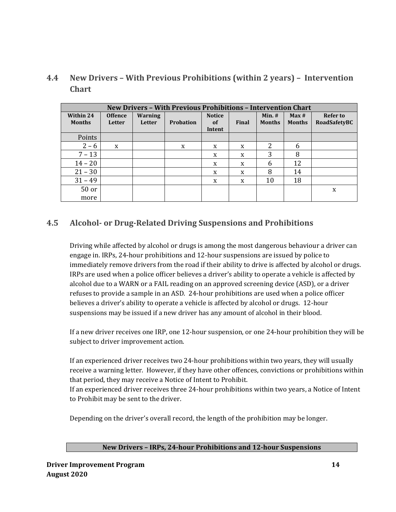**4.4 New Drivers – With Previous Prohibitions (within 2 years) – Intervention Chart**

| <b>New Drivers - With Previous Prohibitions - Intervention Chart</b> |                          |                          |           |                                          |       |                           |                       |                                 |
|----------------------------------------------------------------------|--------------------------|--------------------------|-----------|------------------------------------------|-------|---------------------------|-----------------------|---------------------------------|
| Within 24<br><b>Months</b>                                           | <b>Offence</b><br>Letter | <b>Warning</b><br>Letter | Probation | <b>Notice</b><br><sub>of</sub><br>Intent | Final | $Min.$ #<br><b>Months</b> | Max#<br><b>Months</b> | <b>Refer to</b><br>RoadSafetyBC |
| Points                                                               |                          |                          |           |                                          |       |                           |                       |                                 |
| $2 - 6$                                                              | X                        |                          | X         | X                                        | X     | 2                         | 6                     |                                 |
| $7 - 13$                                                             |                          |                          |           | X                                        | X     | 3                         | 8                     |                                 |
| $14 - 20$                                                            |                          |                          |           | X                                        | X     | 6                         | 12                    |                                 |
| $21 - 30$                                                            |                          |                          |           | X                                        | X     | 8                         | 14                    |                                 |
| $31 - 49$                                                            |                          |                          |           | X                                        | X     | 10                        | 18                    |                                 |
| $50$ or                                                              |                          |                          |           |                                          |       |                           |                       | X                               |
| more                                                                 |                          |                          |           |                                          |       |                           |                       |                                 |

## **4.5 Alcohol- or Drug-Related Driving Suspensions and Prohibitions**

Driving while affected by alcohol or drugs is among the most dangerous behaviour a driver can engage in. IRPs, 24-hour prohibitions and 12-hour suspensions are issued by police to immediately remove drivers from the road if their ability to drive is affected by alcohol or drugs. IRPs are used when a police officer believes a driver's ability to operate a vehicle is affected by alcohol due to a WARN or a FAIL reading on an approved screening device (ASD), or a driver refuses to provide a sample in an ASD. 24-hour prohibitions are used when a police officer believes a driver's ability to operate a vehicle is affected by alcohol or drugs. 12-hour suspensions may be issued if a new driver has any amount of alcohol in their blood.

If a new driver receives one IRP, one 12-hour suspension, or one 24-hour prohibition they will be subject to driver improvement action.

If an experienced driver receives two 24-hour prohibitions within two years, they will usually receive a warning letter. However, if they have other offences, convictions or prohibitions within that period, they may receive a Notice of Intent to Prohibit.

If an experienced driver receives three 24-hour prohibitions within two years, a Notice of Intent to Prohibit may be sent to the driver.

Depending on the driver's overall record, the length of the prohibition may be longer.

#### **New Drivers – IRPs, 24-hour Prohibitions and 12-hour Suspensions**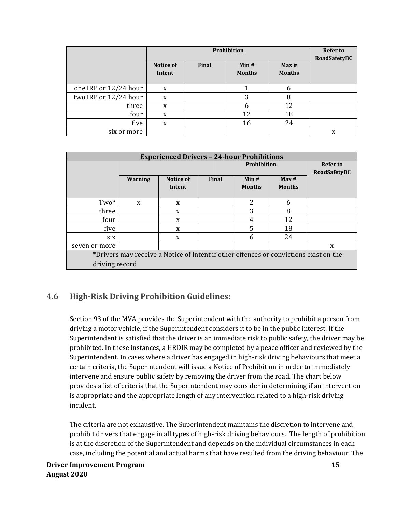|                       |                     | Prohibition |                       |                       |              |  |  |  |
|-----------------------|---------------------|-------------|-----------------------|-----------------------|--------------|--|--|--|
|                       | Notice of<br>Intent | Final       | Min#<br><b>Months</b> | Max#<br><b>Months</b> | RoadSafetyBC |  |  |  |
| one IRP or 12/24 hour | X                   |             |                       |                       |              |  |  |  |
| two IRP or 12/24 hour | x                   |             | 3                     | 8                     |              |  |  |  |
| three                 | X                   |             | 6                     | 12                    |              |  |  |  |
| four                  | X                   |             | 12                    | 18                    |              |  |  |  |
| five                  | X                   |             | 16                    | 24                    |              |  |  |  |
| six or more           |                     |             |                       |                       | X            |  |  |  |

| <b>Experienced Drivers - 24-hour Prohibitions</b>                                     |                |                     |       |                       |                       |   |  |  |
|---------------------------------------------------------------------------------------|----------------|---------------------|-------|-----------------------|-----------------------|---|--|--|
|                                                                                       |                | Refer to            |       |                       |                       |   |  |  |
|                                                                                       |                | <b>RoadSafetyBC</b> |       |                       |                       |   |  |  |
|                                                                                       | <b>Warning</b> | Notice of<br>Intent | Final | Min#<br><b>Months</b> | Max#<br><b>Months</b> |   |  |  |
|                                                                                       |                |                     |       |                       |                       |   |  |  |
| Two*                                                                                  | X              | X                   |       | 2                     | 6                     |   |  |  |
| three                                                                                 |                | X                   |       | 3                     | 8                     |   |  |  |
| four                                                                                  |                | X                   |       | 4                     | 12                    |   |  |  |
| five                                                                                  |                | X                   |       | 5                     | 18                    |   |  |  |
| six                                                                                   |                | X                   |       | 6                     | 24                    |   |  |  |
| seven or more                                                                         |                |                     |       |                       |                       | X |  |  |
| *Drivers may receive a Notice of Intent if other offences or convictions exist on the |                |                     |       |                       |                       |   |  |  |
|                                                                                       | driving record |                     |       |                       |                       |   |  |  |

#### **4.6 High-Risk Driving Prohibition Guidelines:**

Section 93 of the MVA provides the Superintendent with the authority to prohibit a person from driving a motor vehicle, if the Superintendent considers it to be in the public interest. If the Superintendent is satisfied that the driver is an immediate risk to public safety, the driver may be prohibited. In these instances, a HRDIR may be completed by a peace officer and reviewed by the Superintendent. In cases where a driver has engaged in high-risk driving behaviours that meet a certain criteria, the Superintendent will issue a Notice of Prohibition in order to immediately intervene and ensure public safety by removing the driver from the road. The chart below provides a list of criteria that the Superintendent may consider in determining if an intervention is appropriate and the appropriate length of any intervention related to a high-risk driving incident.

The criteria are not exhaustive. The Superintendent maintains the discretion to intervene and prohibit drivers that engage in all types of high-risk driving behaviours. The length of prohibition is at the discretion of the Superintendent and depends on the individual circumstances in each case, including the potential and actual harms that have resulted from the driving behaviour. The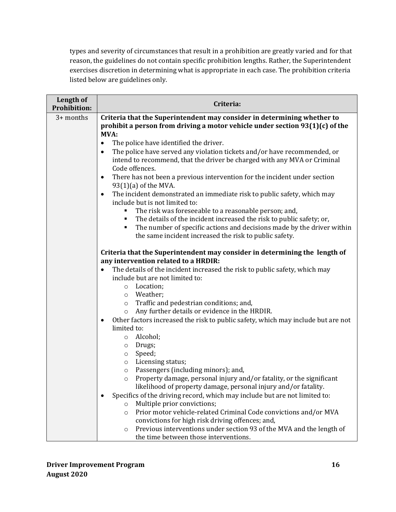types and severity of circumstances that result in a prohibition are greatly varied and for that reason, the guidelines do not contain specific prohibition lengths. Rather, the Superintendent exercises discretion in determining what is appropriate in each case. The prohibition criteria listed below are guidelines only.

| Length of<br><b>Prohibition:</b> | Criteria:                                                                                                                                                                                                          |  |  |  |  |  |  |  |  |  |
|----------------------------------|--------------------------------------------------------------------------------------------------------------------------------------------------------------------------------------------------------------------|--|--|--|--|--|--|--|--|--|
| 3+ months                        | Criteria that the Superintendent may consider in determining whether to<br>prohibit a person from driving a motor vehicle under section 93(1)(c) of the<br>MVA:                                                    |  |  |  |  |  |  |  |  |  |
|                                  | The police have identified the driver.<br>$\bullet$                                                                                                                                                                |  |  |  |  |  |  |  |  |  |
|                                  | The police have served any violation tickets and/or have recommended, or<br>$\bullet$<br>intend to recommend, that the driver be charged with any MVA or Criminal<br>Code offences.                                |  |  |  |  |  |  |  |  |  |
|                                  | There has not been a previous intervention for the incident under section<br>$\bullet$<br>$93(1)(a)$ of the MVA.                                                                                                   |  |  |  |  |  |  |  |  |  |
|                                  | The incident demonstrated an immediate risk to public safety, which may<br>$\bullet$<br>include but is not limited to:                                                                                             |  |  |  |  |  |  |  |  |  |
|                                  | The risk was foreseeable to a reasonable person; and,<br>٠                                                                                                                                                         |  |  |  |  |  |  |  |  |  |
|                                  | The details of the incident increased the risk to public safety; or,<br>٠<br>The number of specific actions and decisions made by the driver within<br>٠<br>the same incident increased the risk to public safety. |  |  |  |  |  |  |  |  |  |
|                                  | Criteria that the Superintendent may consider in determining the length of<br>any intervention related to a HRDIR:                                                                                                 |  |  |  |  |  |  |  |  |  |
|                                  | The details of the incident increased the risk to public safety, which may<br>include but are not limited to:                                                                                                      |  |  |  |  |  |  |  |  |  |
|                                  | Location;<br>$\circ$                                                                                                                                                                                               |  |  |  |  |  |  |  |  |  |
|                                  | Weather;<br>$\circ$                                                                                                                                                                                                |  |  |  |  |  |  |  |  |  |
|                                  | Traffic and pedestrian conditions; and,<br>$\circ$<br>Any further details or evidence in the HRDIR.                                                                                                                |  |  |  |  |  |  |  |  |  |
|                                  | $\circ$<br>Other factors increased the risk to public safety, which may include but are not<br>$\bullet$                                                                                                           |  |  |  |  |  |  |  |  |  |
|                                  | limited to:                                                                                                                                                                                                        |  |  |  |  |  |  |  |  |  |
|                                  | Alcohol;<br>$\circ$                                                                                                                                                                                                |  |  |  |  |  |  |  |  |  |
|                                  | Drugs;<br>$\circ$                                                                                                                                                                                                  |  |  |  |  |  |  |  |  |  |
|                                  | Speed;<br>$\circ$                                                                                                                                                                                                  |  |  |  |  |  |  |  |  |  |
|                                  | Licensing status;<br>$\circ$                                                                                                                                                                                       |  |  |  |  |  |  |  |  |  |
|                                  | Passengers (including minors); and,<br>$\circ$                                                                                                                                                                     |  |  |  |  |  |  |  |  |  |
|                                  | Property damage, personal injury and/or fatality, or the significant<br>$\circ$<br>likelihood of property damage, personal injury and/or fatality.                                                                 |  |  |  |  |  |  |  |  |  |
|                                  | Specifics of the driving record, which may include but are not limited to:                                                                                                                                         |  |  |  |  |  |  |  |  |  |
|                                  | Multiple prior convictions;<br>$\circ$                                                                                                                                                                             |  |  |  |  |  |  |  |  |  |
|                                  | Prior motor vehicle-related Criminal Code convictions and/or MVA<br>$\circ$                                                                                                                                        |  |  |  |  |  |  |  |  |  |
|                                  | convictions for high risk driving offences; and,                                                                                                                                                                   |  |  |  |  |  |  |  |  |  |
|                                  | Previous interventions under section 93 of the MVA and the length of<br>$\circ$                                                                                                                                    |  |  |  |  |  |  |  |  |  |
|                                  | the time between those interventions.                                                                                                                                                                              |  |  |  |  |  |  |  |  |  |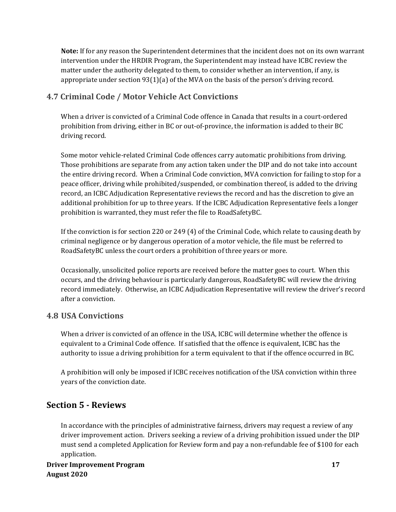**Note:** If for any reason the Superintendent determines that the incident does not on its own warrant intervention under the HRDIR Program, the Superintendent may instead have ICBC review the matter under the authority delegated to them, to consider whether an intervention, if any, is appropriate under section 93(1)(a) of the MVA on the basis of the person's driving record.

## **4.7 Criminal Code / Motor Vehicle Act Convictions**

When a driver is convicted of a Criminal Code offence in Canada that results in a court-ordered prohibition from driving, either in BC or out-of-province, the information is added to their BC driving record.

Some motor vehicle-related Criminal Code offences carry automatic prohibitions from driving. Those prohibitions are separate from any action taken under the DIP and do not take into account the entire driving record. When a Criminal Code conviction, MVA conviction for failing to stop for a peace officer, driving while prohibited/suspended, or combination thereof, is added to the driving record, an ICBC Adjudication Representative reviews the record and has the discretion to give an additional prohibition for up to three years. If the ICBC Adjudication Representative feels a longer prohibition is warranted, they must refer the file to RoadSafetyBC.

If the conviction is for section 220 or 249 (4) of the Criminal Code, which relate to causing death by criminal negligence or by dangerous operation of a motor vehicle, the file must be referred to RoadSafetyBC unless the court orders a prohibition of three years or more.

Occasionally, unsolicited police reports are received before the matter goes to court. When this occurs, and the driving behaviour is particularly dangerous, RoadSafetyBC will review the driving record immediately. Otherwise, an ICBC Adjudication Representative will review the driver's record after a conviction.

#### **4.8 USA Convictions**

When a driver is convicted of an offence in the USA, ICBC will determine whether the offence is equivalent to a Criminal Code offence. If satisfied that the offence is equivalent, ICBC has the authority to issue a driving prohibition for a term equivalent to that if the offence occurred in BC.

A prohibition will only be imposed if ICBC receives notification of the USA conviction within three years of the conviction date.

## **Section 5 - Reviews**

In accordance with the principles of administrative fairness, drivers may request a review of any driver improvement action. Drivers seeking a review of a driving prohibition issued under the DIP must send a completed Application for Review form and pay a non-refundable fee of \$100 for each application.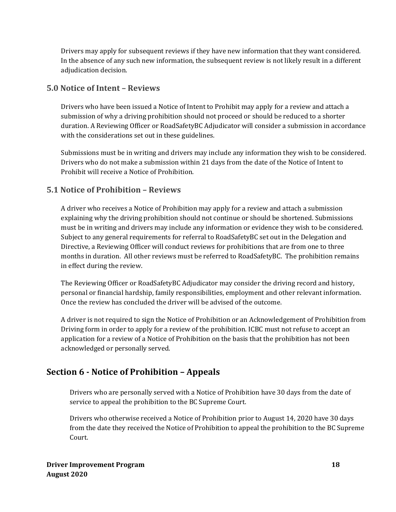Drivers may apply for subsequent reviews if they have new information that they want considered. In the absence of any such new information, the subsequent review is not likely result in a different adjudication decision.

## **5.0 Notice of Intent – Reviews**

Drivers who have been issued a Notice of Intent to Prohibit may apply for a review and attach a submission of why a driving prohibition should not proceed or should be reduced to a shorter duration. A Reviewing Officer or RoadSafetyBC Adjudicator will consider a submission in accordance with the considerations set out in these guidelines.

Submissions must be in writing and drivers may include any information they wish to be considered. Drivers who do not make a submission within 21 days from the date of the Notice of Intent to Prohibit will receive a Notice of Prohibition.

## **5.1 Notice of Prohibition – Reviews**

A driver who receives a Notice of Prohibition may apply for a review and attach a submission explaining why the driving prohibition should not continue or should be shortened. Submissions must be in writing and drivers may include any information or evidence they wish to be considered. Subject to any general requirements for referral to RoadSafetyBC set out in the Delegation and Directive, a Reviewing Officer will conduct reviews for prohibitions that are from one to three months in duration. All other reviews must be referred to RoadSafetyBC. The prohibition remains in effect during the review.

The Reviewing Officer or RoadSafetyBC Adjudicator may consider the driving record and history, personal or financial hardship, family responsibilities, employment and other relevant information. Once the review has concluded the driver will be advised of the outcome.

A driver is not required to sign the Notice of Prohibition or an Acknowledgement of Prohibition from Driving form in order to apply for a review of the prohibition. ICBC must not refuse to accept an application for a review of a Notice of Prohibition on the basis that the prohibition has not been acknowledged or personally served.

## **Section 6 - Notice of Prohibition – Appeals**

Drivers who are personally served with a Notice of Prohibition have 30 days from the date of service to appeal the prohibition to the BC Supreme Court.

Drivers who otherwise received a Notice of Prohibition prior to August 14, 2020 have 30 days from the date they received the Notice of Prohibition to appeal the prohibition to the BC Supreme Court.